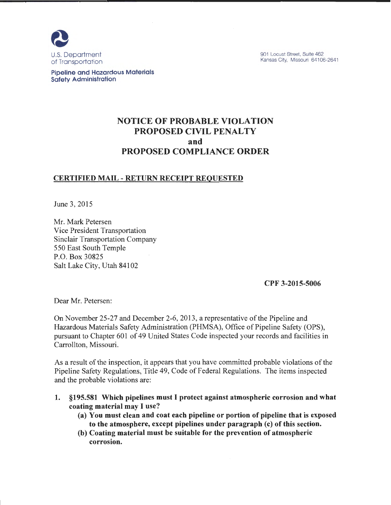

Pipeline and Hazardous Materials Safety Administration

901 Locust Street, Suite 462 Kansas City, Missouri 64106-2641

# NOTICE OF PROBABLE VIOLATION PROPOSED CIVIL PENALTY and PROPOSED COMPLIANCE ORDER

## CERTIFIED MAIL- RETURN RECEIPT REQUESTED

June 3, 2015

Mr. Mark Petersen Vice President Transportation Sinclair Transportation Company 550 East South Temple P.O. Box 30825 Salt Lake City, Utah 84102

CPF 3-2015-5006

Dear Mr. Petersen:

On November 25-27 and December 2-6, 2013, a representative of the Pipeline and Hazardous Materials Safety Administration (PHMSA), Office of Pipeline Safety (OPS), pursuant to Chapter 601 of 49 United States Code inspected your records and facilities in Carrollton, Missouri.

As a result of the inspection, it appears that you have committed probable violations of the Pipeline Safety Regulations, Title 49, Code of Federal Regulations. The items inspected and the probable violations are:

- 1. §195.581 Which pipelines must I protect against atmospheric corrosion and what coating material may I use?
	- (a) You must clean and coat each pipeline or portion of pipeline that is exposed to the atmosphere, except pipelines under paragraph (c) of this section.
	- (b) Coating material must be suitable for the prevention of atmospheric corrosion.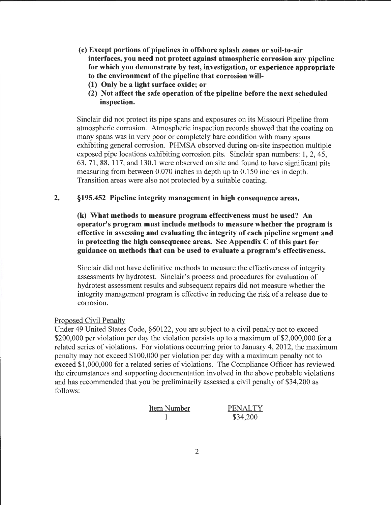- (c) Except portions of pipelines in offshore splash zones or soil-to-air interfaces, you need not protect against atmospheric corrosion any pipeline for which you demonstrate by test, investigation, or experience appropriate to the environment of the pipeline that corrosion will-
	- (1) Only be a light surface oxide; or
	- (2) Not affect the safe operation of the pipeline before the next scheduled inspection.

Sinclair did not protect its pipe spans and exposures on its Missouri Pipeline from atmospheric corrosion. Atmospheric inspection records showed that the coating on many spans was in very poor or completely bare condition with many spans exhibiting general corrosion. PHMSA observed during on-site inspection multiple exposed pipe locations exhibiting corrosion pits. Sinclair span numbers: 1, 2, 45, 63, 71, 88, 117, and 130.1 were observed on site and found to have significant pits measuring from between 0.070 inches in depth up to 0.150 inches in depth. Transition areas were also not protected by a suitable coating.

2. §195.452 Pipeline integrity management in high consequence areas.

(k) What methods to measure program effectiveness must be used? An operator's program must include methods to measure whether the program is effective in assessing and evaluating the integrity of each pipeline segment and in protecting the high consequence areas. See Appendix C of this part for guidance on methods that can be used to evaluate a program's effectiveness.

Sinclair did not have definitive methods to measure the effectiveness of integrity assessments by hydrotest. Sinclair's process and procedures for evaluation of hydrotest assessment results and subsequent repairs did not measure whether the integrity management program is effective in reducing the risk of a release due to corrosion.

### Proposed Civil Penalty

Under 49 United States Code, §60122, you are subject to a civil penalty not to exceed \$200,000 per violation per day the violation persists up to a maximum of \$2,000,000 for a related series of violations. For violations occurring prior to January 4, 2012, the maximum penalty may not exceed \$100,000 per violation per day with a maximum penalty not to exceed \$1,000,000 for a related series of violations. The Compliance Officer has reviewed the circumstances and supporting documentation involved in the above probable violations and has recommended that you be preliminarily assessed a civil penalty of \$34,200 as follows:

Item Number 1 PENALTY \$34,200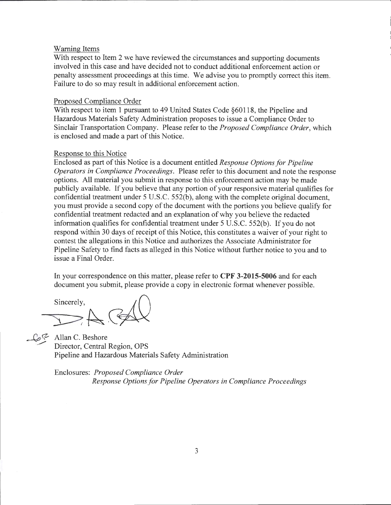#### Warning Items

With respect to Item 2 we have reviewed the circumstances and supporting documents involved in this case and have decided not to conduct additional enforcement action or penalty assessment proceedings at this time. We advise you to promptly correct this item. Failure to do so may result in additional enforcement action.

#### Proposed Compliance Order

With respect to item 1 pursuant to 49 United States Code  $\delta$ 60118, the Pipeline and Hazardous Materials Safety Administration proposes to issue a Compliance Order to Sinclair Transportation Company. Please refer to the *Proposed Compliance Order,* which is enclosed and made a part of this Notice.

#### Response to this Notice

Enclosed as part of this Notice is a document entitled *Response Options for Pipeline Operators in Compliance Proceedings.* Please refer to this document and note the response options. All material you submit in response to this enforcement action may be made publicly available. If you believe that any portion of your responsive material qualifies for confidential treatment under 5 U.S.C. 552(b), along with the complete original document, you must provide a second copy of the document with the portions you believe qualify for confidential treatment redacted and an explanation of why you believe the redacted information qualifies for confidential treatment under 5 U.S.C. 552(b). If you do not respond within 30 days of receipt of this Notice, this constitutes a waiver of your right to contest the allegations in this Notice and authorizes the Associate Administrator for Pipeline Safety to find facts as alleged in this Notice without further notice to you and to issue a Final Order.

In your correspondence on this matter, please refer to **CPF 3-2015-5006** and for each document you submit, please provide a copy in electronic format whenever possible.

Sincerely,  $D.A.G$ 

 $\mathcal{P}^{\mathbb{C}}$  Allan C. Beshore Director, Central Region, OPS Pipeline and Hazardous Materials Safety Administration

Enclosures: *Proposed Compliance Order Response Options for Pipeline Operators in Compliance Proceedings*